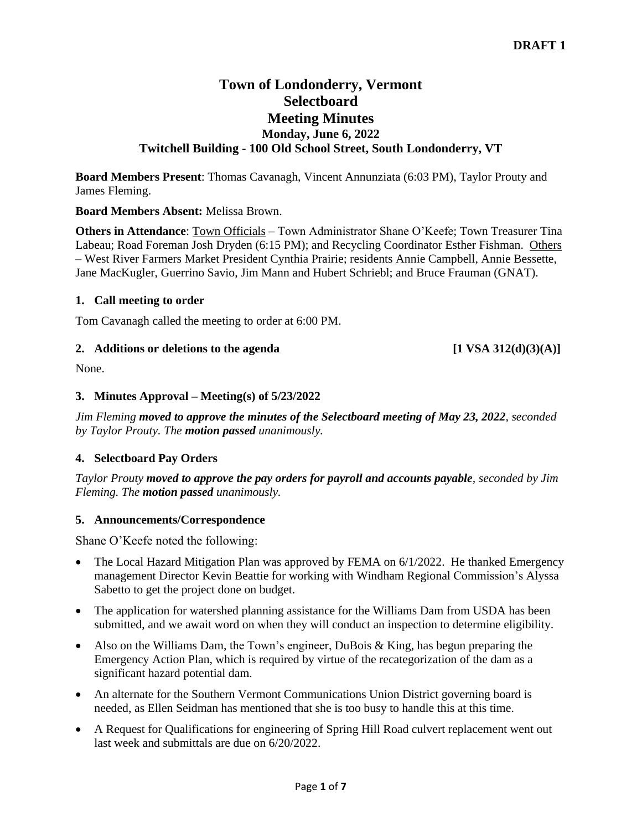# **Town of Londonderry, Vermont Selectboard Meeting Minutes Monday, June 6, 2022 Twitchell Building - 100 Old School Street, South Londonderry, VT**

**Board Members Present**: Thomas Cavanagh, Vincent Annunziata (6:03 PM), Taylor Prouty and James Fleming.

# **Board Members Absent:** Melissa Brown.

**Others in Attendance**: Town Officials – Town Administrator Shane O'Keefe; Town Treasurer Tina Labeau; Road Foreman Josh Dryden (6:15 PM); and Recycling Coordinator Esther Fishman. Others – West River Farmers Market President Cynthia Prairie; residents Annie Campbell, Annie Bessette, Jane MacKugler, Guerrino Savio, Jim Mann and Hubert Schriebl; and Bruce Frauman (GNAT).

### **1. Call meeting to order**

Tom Cavanagh called the meeting to order at 6:00 PM.

# 2. **Additions or deletions to the agenda** [1 VSA 312(d)(3)(A)]

None.

### **3. Minutes Approval – Meeting(s) of 5/23/2022**

*Jim Fleming moved to approve the minutes of the Selectboard meeting of May 23, 2022, seconded by Taylor Prouty. The motion passed unanimously.*

# **4. Selectboard Pay Orders**

*Taylor Prouty moved to approve the pay orders for payroll and accounts payable, seconded by Jim Fleming. The motion passed unanimously.*

### **5. Announcements/Correspondence**

Shane O'Keefe noted the following:

- The Local Hazard Mitigation Plan was approved by FEMA on 6/1/2022. He thanked Emergency management Director Kevin Beattie for working with Windham Regional Commission's Alyssa Sabetto to get the project done on budget.
- The application for watershed planning assistance for the Williams Dam from USDA has been submitted, and we await word on when they will conduct an inspection to determine eligibility.
- Also on the Williams Dam, the Town's engineer, DuBois & King, has begun preparing the Emergency Action Plan, which is required by virtue of the recategorization of the dam as a significant hazard potential dam.
- An alternate for the Southern Vermont Communications Union District governing board is needed, as Ellen Seidman has mentioned that she is too busy to handle this at this time.
- A Request for Qualifications for engineering of Spring Hill Road culvert replacement went out last week and submittals are due on 6/20/2022.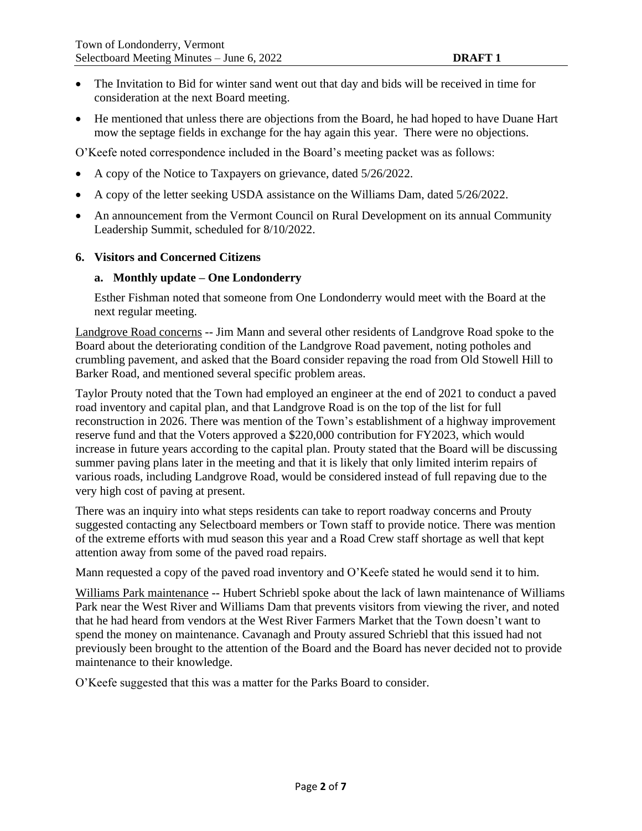- The Invitation to Bid for winter sand went out that day and bids will be received in time for consideration at the next Board meeting.
- He mentioned that unless there are objections from the Board, he had hoped to have Duane Hart mow the septage fields in exchange for the hay again this year. There were no objections.

O'Keefe noted correspondence included in the Board's meeting packet was as follows:

- A copy of the Notice to Taxpayers on grievance, dated 5/26/2022.
- A copy of the letter seeking USDA assistance on the Williams Dam, dated 5/26/2022.
- An announcement from the Vermont Council on Rural Development on its annual Community Leadership Summit, scheduled for 8/10/2022.

### **6. Visitors and Concerned Citizens**

### **a. Monthly update – One Londonderry**

Esther Fishman noted that someone from One Londonderry would meet with the Board at the next regular meeting.

Landgrove Road concerns -- Jim Mann and several other residents of Landgrove Road spoke to the Board about the deteriorating condition of the Landgrove Road pavement, noting potholes and crumbling pavement, and asked that the Board consider repaving the road from Old Stowell Hill to Barker Road, and mentioned several specific problem areas.

Taylor Prouty noted that the Town had employed an engineer at the end of 2021 to conduct a paved road inventory and capital plan, and that Landgrove Road is on the top of the list for full reconstruction in 2026. There was mention of the Town's establishment of a highway improvement reserve fund and that the Voters approved a \$220,000 contribution for FY2023, which would increase in future years according to the capital plan. Prouty stated that the Board will be discussing summer paving plans later in the meeting and that it is likely that only limited interim repairs of various roads, including Landgrove Road, would be considered instead of full repaving due to the very high cost of paving at present.

There was an inquiry into what steps residents can take to report roadway concerns and Prouty suggested contacting any Selectboard members or Town staff to provide notice. There was mention of the extreme efforts with mud season this year and a Road Crew staff shortage as well that kept attention away from some of the paved road repairs.

Mann requested a copy of the paved road inventory and O'Keefe stated he would send it to him.

Williams Park maintenance -- Hubert Schriebl spoke about the lack of lawn maintenance of Williams Park near the West River and Williams Dam that prevents visitors from viewing the river, and noted that he had heard from vendors at the West River Farmers Market that the Town doesn't want to spend the money on maintenance. Cavanagh and Prouty assured Schriebl that this issued had not previously been brought to the attention of the Board and the Board has never decided not to provide maintenance to their knowledge.

O'Keefe suggested that this was a matter for the Parks Board to consider.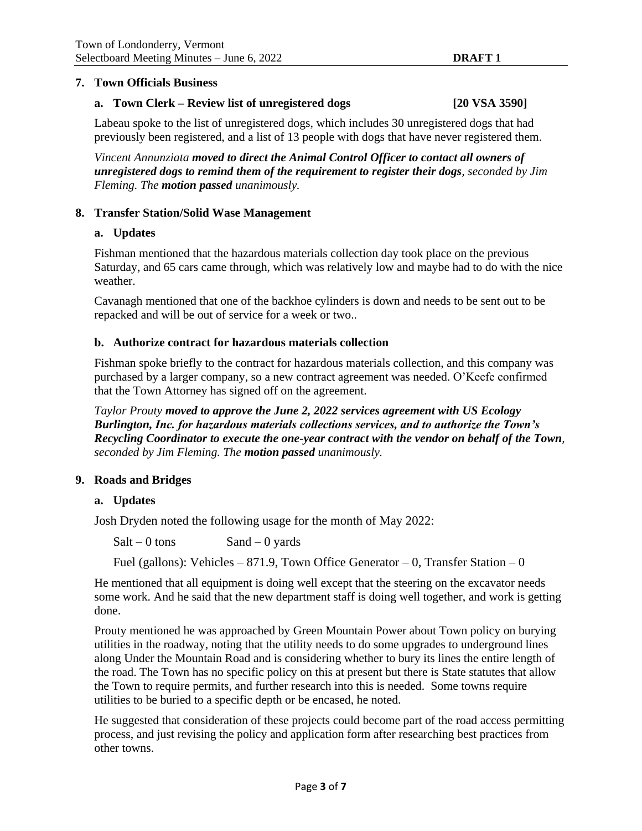### **7. Town Officials Business**

### **a. Town Clerk – Review list of unregistered dogs [20 VSA 3590]**

Labeau spoke to the list of unregistered dogs, which includes 30 unregistered dogs that had previously been registered, and a list of 13 people with dogs that have never registered them.

*Vincent Annunziata moved to direct the Animal Control Officer to contact all owners of unregistered dogs to remind them of the requirement to register their dogs, seconded by Jim Fleming. The motion passed unanimously.*

# **8. Transfer Station/Solid Wase Management**

### **a. Updates**

Fishman mentioned that the hazardous materials collection day took place on the previous Saturday, and 65 cars came through, which was relatively low and maybe had to do with the nice weather.

Cavanagh mentioned that one of the backhoe cylinders is down and needs to be sent out to be repacked and will be out of service for a week or two..

#### **b. Authorize contract for hazardous materials collection**

Fishman spoke briefly to the contract for hazardous materials collection, and this company was purchased by a larger company, so a new contract agreement was needed. O'Keefe confirmed that the Town Attorney has signed off on the agreement.

*Taylor Prouty moved to approve the June 2, 2022 services agreement with US Ecology Burlington, Inc. for hazardous materials collections services, and to authorize the Town's Recycling Coordinator to execute the one-year contract with the vendor on behalf of the Town, seconded by Jim Fleming. The motion passed unanimously.*

### **9. Roads and Bridges**

#### **a. Updates**

Josh Dryden noted the following usage for the month of May 2022:

 $Salt - 0$  tons  $Sand - 0$  yards

Fuel (gallons): Vehicles – 871.9, Town Office Generator – 0, Transfer Station – 0

He mentioned that all equipment is doing well except that the steering on the excavator needs some work. And he said that the new department staff is doing well together, and work is getting done.

Prouty mentioned he was approached by Green Mountain Power about Town policy on burying utilities in the roadway, noting that the utility needs to do some upgrades to underground lines along Under the Mountain Road and is considering whether to bury its lines the entire length of the road. The Town has no specific policy on this at present but there is State statutes that allow the Town to require permits, and further research into this is needed. Some towns require utilities to be buried to a specific depth or be encased, he noted.

He suggested that consideration of these projects could become part of the road access permitting process, and just revising the policy and application form after researching best practices from other towns.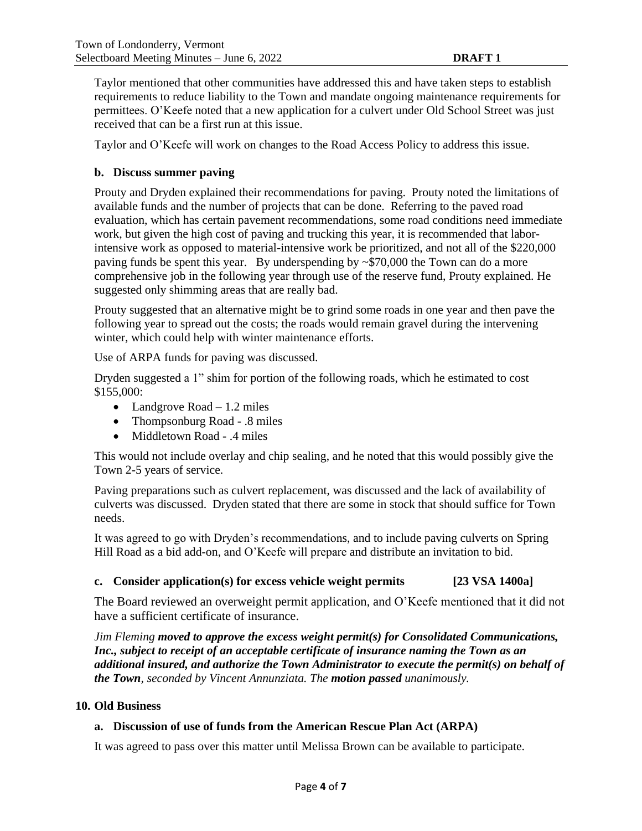Taylor mentioned that other communities have addressed this and have taken steps to establish requirements to reduce liability to the Town and mandate ongoing maintenance requirements for permittees. O'Keefe noted that a new application for a culvert under Old School Street was just received that can be a first run at this issue.

Taylor and O'Keefe will work on changes to the Road Access Policy to address this issue.

## **b. Discuss summer paving**

Prouty and Dryden explained their recommendations for paving. Prouty noted the limitations of available funds and the number of projects that can be done. Referring to the paved road evaluation, which has certain pavement recommendations, some road conditions need immediate work, but given the high cost of paving and trucking this year, it is recommended that laborintensive work as opposed to material-intensive work be prioritized, and not all of the \$220,000 paving funds be spent this year. By underspending by  $\sim$ \$70,000 the Town can do a more comprehensive job in the following year through use of the reserve fund, Prouty explained. He suggested only shimming areas that are really bad.

Prouty suggested that an alternative might be to grind some roads in one year and then pave the following year to spread out the costs; the roads would remain gravel during the intervening winter, which could help with winter maintenance efforts.

Use of ARPA funds for paving was discussed.

Dryden suggested a 1" shim for portion of the following roads, which he estimated to cost \$155,000:

- Landgrove Road  $-1.2$  miles
- Thompsonburg Road .8 miles
- Middletown Road .4 miles

This would not include overlay and chip sealing, and he noted that this would possibly give the Town 2-5 years of service.

Paving preparations such as culvert replacement, was discussed and the lack of availability of culverts was discussed. Dryden stated that there are some in stock that should suffice for Town needs.

It was agreed to go with Dryden's recommendations, and to include paving culverts on Spring Hill Road as a bid add-on, and O'Keefe will prepare and distribute an invitation to bid.

### **c. Consider application(s) for excess vehicle weight permits [23 VSA 1400a]**

The Board reviewed an overweight permit application, and O'Keefe mentioned that it did not have a sufficient certificate of insurance.

*Jim Fleming moved to approve the excess weight permit(s) for Consolidated Communications, Inc., subject to receipt of an acceptable certificate of insurance naming the Town as an additional insured, and authorize the Town Administrator to execute the permit(s) on behalf of the Town, seconded by Vincent Annunziata. The motion passed unanimously.*

### **10. Old Business**

# **a. Discussion of use of funds from the American Rescue Plan Act (ARPA)**

It was agreed to pass over this matter until Melissa Brown can be available to participate.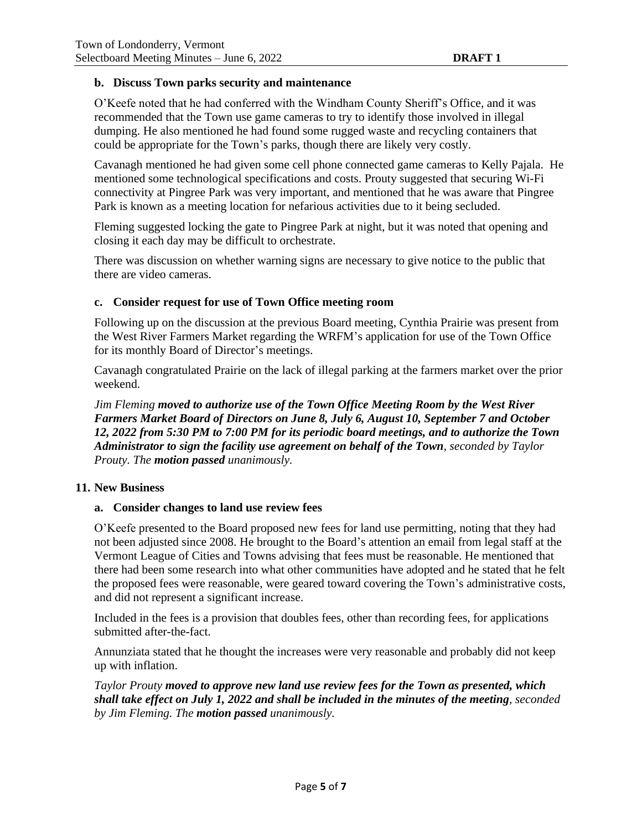### **b. Discuss Town parks security and maintenance**

O'Keefe noted that he had conferred with the Windham County Sheriff's Office, and it was recommended that the Town use game cameras to try to identify those involved in illegal dumping. He also mentioned he had found some rugged waste and recycling containers that could be appropriate for the Town's parks, though there are likely very costly.

Cavanagh mentioned he had given some cell phone connected game cameras to Kelly Pajala. He mentioned some technological specifications and costs. Prouty suggested that securing Wi-Fi connectivity at Pingree Park was very important, and mentioned that he was aware that Pingree Park is known as a meeting location for nefarious activities due to it being secluded.

Fleming suggested locking the gate to Pingree Park at night, but it was noted that opening and closing it each day may be difficult to orchestrate.

There was discussion on whether warning signs are necessary to give notice to the public that there are video cameras.

### **c. Consider request for use of Town Office meeting room**

Following up on the discussion at the previous Board meeting, Cynthia Prairie was present from the West River Farmers Market regarding the WRFM's application for use of the Town Office for its monthly Board of Director's meetings.

Cavanagh congratulated Prairie on the lack of illegal parking at the farmers market over the prior weekend.

*Jim Fleming moved to authorize use of the Town Office Meeting Room by the West River Farmers Market Board of Directors on June 8, July 6, August 10, September 7 and October 12, 2022 from 5:30 PM to 7:00 PM for its periodic board meetings, and to authorize the Town Administrator to sign the facility use agreement on behalf of the Town, seconded by Taylor Prouty. The motion passed unanimously.*

### **11. New Business**

### **a. Consider changes to land use review fees**

O'Keefe presented to the Board proposed new fees for land use permitting, noting that they had not been adjusted since 2008. He brought to the Board's attention an email from legal staff at the Vermont League of Cities and Towns advising that fees must be reasonable. He mentioned that there had been some research into what other communities have adopted and he stated that he felt the proposed fees were reasonable, were geared toward covering the Town's administrative costs, and did not represent a significant increase.

Included in the fees is a provision that doubles fees, other than recording fees, for applications submitted after-the-fact.

Annunziata stated that he thought the increases were very reasonable and probably did not keep up with inflation.

*Taylor Prouty moved to approve new land use review fees for the Town as presented, which shall take effect on July 1, 2022 and shall be included in the minutes of the meeting, seconded by Jim Fleming. The motion passed unanimously.*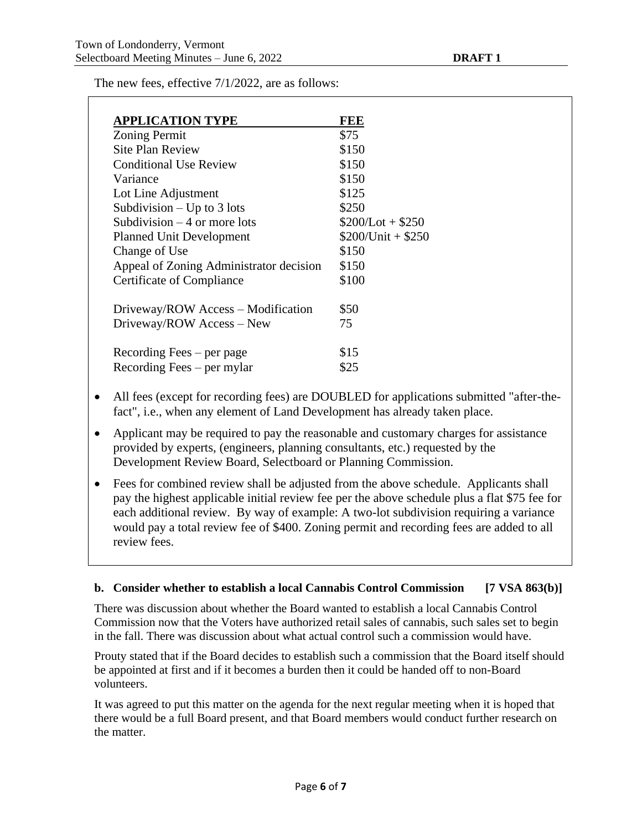The new fees, effective 7/1/2022, are as follows:

| <b>APPLICATION TYPE</b>                 | FEE                |
|-----------------------------------------|--------------------|
| <b>Zoning Permit</b>                    | \$75               |
| Site Plan Review                        | \$150              |
| <b>Conditional Use Review</b>           | \$150              |
| Variance                                | \$150              |
| Lot Line Adjustment                     | \$125              |
| Subdivision $-$ Up to 3 lots            | \$250              |
| Subdivision $-4$ or more lots           | $$200/Lot + $250$  |
| <b>Planned Unit Development</b>         | $$200/Unit + $250$ |
| Change of Use                           | \$150              |
| Appeal of Zoning Administrator decision | \$150              |
| Certificate of Compliance               | \$100              |
| Driveway/ROW Access – Modification      | \$50               |
| Driveway/ROW Access - New               | 75                 |
| Recording Fees $-$ per page             | \$15               |
| Recording Fees $-$ per mylar            | \$25               |

- All fees (except for recording fees) are DOUBLED for applications submitted "after-thefact", i.e., when any element of Land Development has already taken place.
- Applicant may be required to pay the reasonable and customary charges for assistance provided by experts, (engineers, planning consultants, etc.) requested by the Development Review Board, Selectboard or Planning Commission.
- Fees for combined review shall be adjusted from the above schedule. Applicants shall pay the highest applicable initial review fee per the above schedule plus a flat \$75 fee for each additional review. By way of example: A two-lot subdivision requiring a variance would pay a total review fee of \$400. Zoning permit and recording fees are added to all review fees.

### **b. Consider whether to establish a local Cannabis Control Commission [7 VSA 863(b)]**

There was discussion about whether the Board wanted to establish a local Cannabis Control Commission now that the Voters have authorized retail sales of cannabis, such sales set to begin in the fall. There was discussion about what actual control such a commission would have.

Prouty stated that if the Board decides to establish such a commission that the Board itself should be appointed at first and if it becomes a burden then it could be handed off to non-Board volunteers.

It was agreed to put this matter on the agenda for the next regular meeting when it is hoped that there would be a full Board present, and that Board members would conduct further research on the matter.